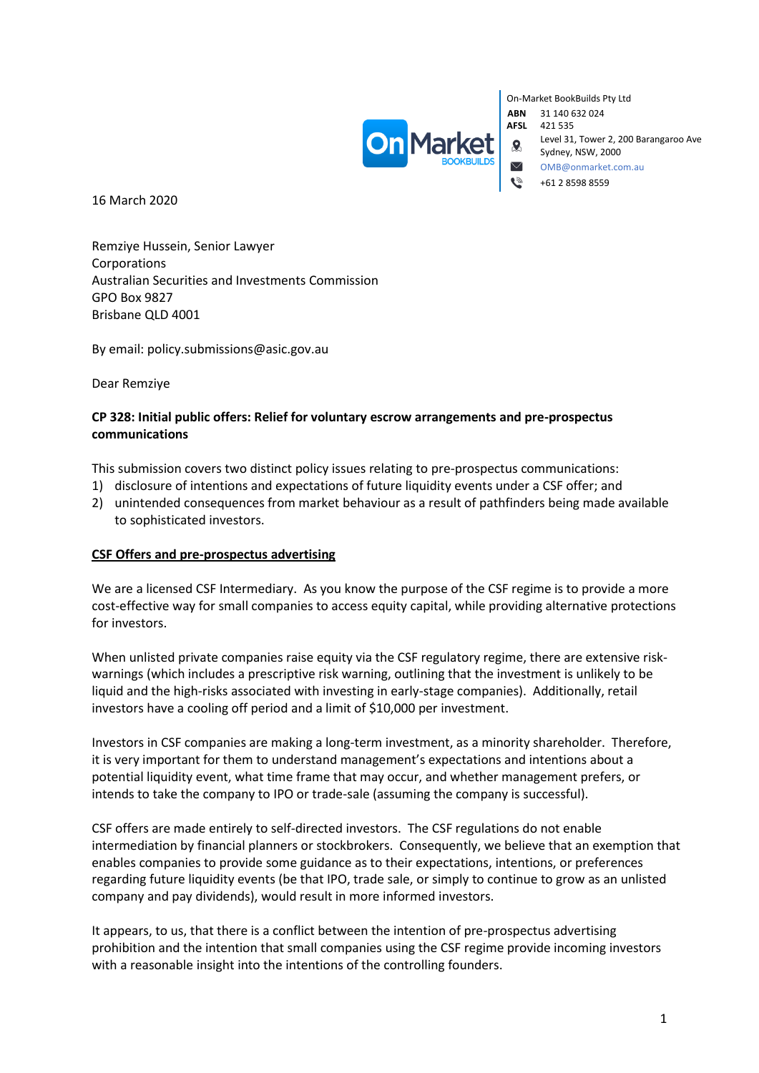

On-Market BookBuilds Pty Ltd **ABN** 31 140 632 024 **AFSL** 421 535 Level 31, Tower 2, 200 Barangaroo Ave Sydney, NSW, 2000 OMB@onmarket.com.au +61 2 8598 8559

16 March 2020

Remziye Hussein, Senior Lawyer Corporations Australian Securities and Investments Commission GPO Box 9827 Brisbane QLD 4001

By email: policy.submissions@asic.gov.au

Dear Remziye

## **CP 328: Initial public offers: Relief for voluntary escrow arrangements and pre-prospectus communications**

This submission covers two distinct policy issues relating to pre-prospectus communications:

- 1) disclosure of intentions and expectations of future liquidity events under a CSF offer; and
- 2) unintended consequences from market behaviour as a result of pathfinders being made available to sophisticated investors.

### **CSF Offers and pre-prospectus advertising**

We are a licensed CSF Intermediary. As you know the purpose of the CSF regime is to provide a more cost-effective way for small companies to access equity capital, while providing alternative protections for investors.

When unlisted private companies raise equity via the CSF regulatory regime, there are extensive riskwarnings (which includes a prescriptive risk warning, outlining that the investment is unlikely to be liquid and the high-risks associated with investing in early-stage companies). Additionally, retail investors have a cooling off period and a limit of \$10,000 per investment.

Investors in CSF companies are making a long-term investment, as a minority shareholder. Therefore, it is very important for them to understand management's expectations and intentions about a potential liquidity event, what time frame that may occur, and whether management prefers, or intends to take the company to IPO or trade-sale (assuming the company is successful).

CSF offers are made entirely to self-directed investors. The CSF regulations do not enable intermediation by financial planners or stockbrokers. Consequently, we believe that an exemption that enables companies to provide some guidance as to their expectations, intentions, or preferences regarding future liquidity events (be that IPO, trade sale, or simply to continue to grow as an unlisted company and pay dividends), would result in more informed investors.

It appears, to us, that there is a conflict between the intention of pre-prospectus advertising prohibition and the intention that small companies using the CSF regime provide incoming investors with a reasonable insight into the intentions of the controlling founders.